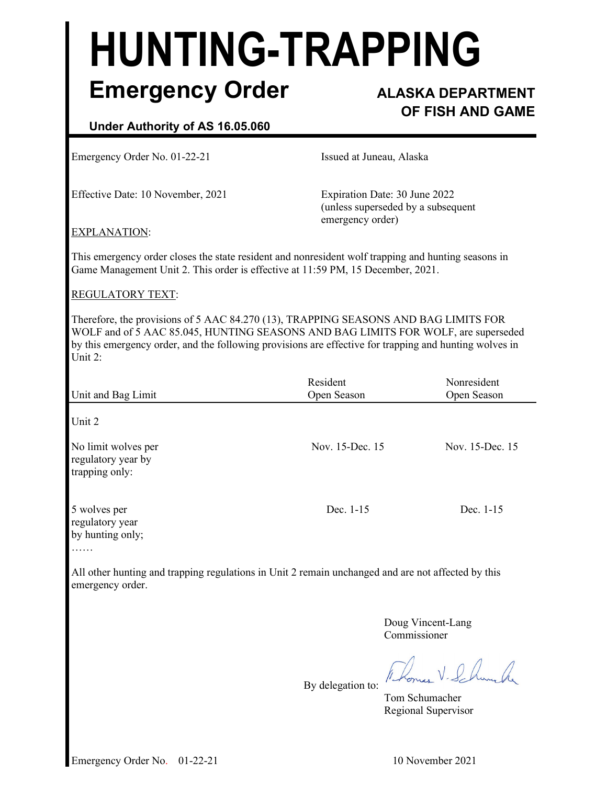# **HUNTING-TRAPPING Emergency Order ALASKA DEPARTMENT**

# **OF FISH AND GAME**

# **Under Authority of AS 16.05.060**

Emergency Order No. 01-22-21 **Issued at Juneau, Alaska** 

Effective Date: 10 November, 2021 Expiration Date: 30 June 2022

(unless superseded by a subsequent emergency order)

#### EXPLANATION:

This emergency order closes the state resident and nonresident wolf trapping and hunting seasons in Game Management Unit 2. This order is effective at 11:59 PM, 15 December, 2021.

# REGULATORY TEXT:

Therefore, the provisions of 5 AAC 84.270 (13), TRAPPING SEASONS AND BAG LIMITS FOR WOLF and of 5 AAC 85.045, HUNTING SEASONS AND BAG LIMITS FOR WOLF, are superseded by this emergency order, and the following provisions are effective for trapping and hunting wolves in Unit 2:

| Unit and Bag Limit                                          | Resident<br>Open Season | Nonresident<br>Open Season |
|-------------------------------------------------------------|-------------------------|----------------------------|
| Unit 2                                                      |                         |                            |
| No limit wolves per<br>regulatory year by<br>trapping only: | Nov. 15-Dec. 15         | Nov. 15-Dec. 15            |
| 5 wolves per<br>regulatory year<br>by hunting only;         | Dec. 1-15               | Dec. 1-15                  |

……

All other hunting and trapping regulations in Unit 2 remain unchanged and are not affected by this emergency order.

By delegation to:

 Doug Vincent-Lang Commissioner

V. P. A.

 Tom Schumacher Regional Supervisor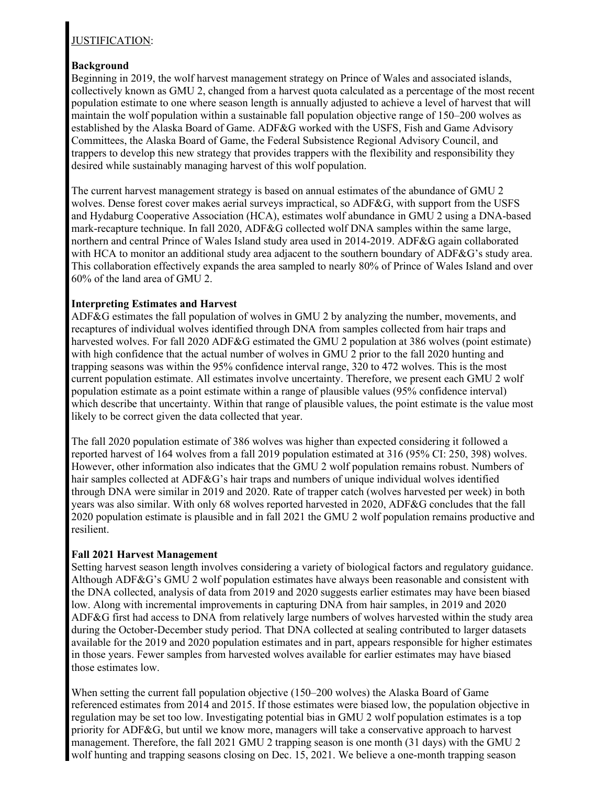# JUSTIFICATION:

# **Background**

Beginning in 2019, the wolf harvest management strategy on Prince of Wales and associated islands, collectively known as GMU 2, changed from a harvest quota calculated as a percentage of the most recent population estimate to one where season length is annually adjusted to achieve a level of harvest that will maintain the wolf population within a sustainable fall population objective range of 150–200 wolves as established by the Alaska Board of Game. ADF&G worked with the USFS, Fish and Game Advisory Committees, the Alaska Board of Game, the Federal Subsistence Regional Advisory Council, and trappers to develop this new strategy that provides trappers with the flexibility and responsibility they desired while sustainably managing harvest of this wolf population.

The current harvest management strategy is based on annual estimates of the abundance of GMU 2 wolves. Dense forest cover makes aerial surveys impractical, so ADF&G, with support from the USFS and Hydaburg Cooperative Association (HCA), estimates wolf abundance in GMU 2 using a DNA-based mark-recapture technique. In fall 2020, ADF&G collected wolf DNA samples within the same large, northern and central Prince of Wales Island study area used in 2014-2019. ADF&G again collaborated with HCA to monitor an additional study area adjacent to the southern boundary of ADF&G's study area. This collaboration effectively expands the area sampled to nearly 80% of Prince of Wales Island and over 60% of the land area of GMU 2.

# **Interpreting Estimates and Harvest**

ADF&G estimates the fall population of wolves in GMU 2 by analyzing the number, movements, and recaptures of individual wolves identified through DNA from samples collected from hair traps and harvested wolves. For fall 2020 ADF&G estimated the GMU 2 population at 386 wolves (point estimate) with high confidence that the actual number of wolves in GMU 2 prior to the fall 2020 hunting and trapping seasons was within the 95% confidence interval range, 320 to 472 wolves. This is the most current population estimate. All estimates involve uncertainty. Therefore, we present each GMU 2 wolf population estimate as a point estimate within a range of plausible values (95% confidence interval) which describe that uncertainty. Within that range of plausible values, the point estimate is the value most likely to be correct given the data collected that year.

The fall 2020 population estimate of 386 wolves was higher than expected considering it followed a reported harvest of 164 wolves from a fall 2019 population estimated at 316 (95% CI: 250, 398) wolves. However, other information also indicates that the GMU 2 wolf population remains robust. Numbers of hair samples collected at ADF&G's hair traps and numbers of unique individual wolves identified through DNA were similar in 2019 and 2020. Rate of trapper catch (wolves harvested per week) in both years was also similar. With only 68 wolves reported harvested in 2020, ADF&G concludes that the fall 2020 population estimate is plausible and in fall 2021 the GMU 2 wolf population remains productive and resilient.

# **Fall 2021 Harvest Management**

Setting harvest season length involves considering a variety of biological factors and regulatory guidance. Although ADF&G's GMU 2 wolf population estimates have always been reasonable and consistent with the DNA collected, analysis of data from 2019 and 2020 suggests earlier estimates may have been biased low. Along with incremental improvements in capturing DNA from hair samples, in 2019 and 2020 ADF&G first had access to DNA from relatively large numbers of wolves harvested within the study area during the October-December study period. That DNA collected at sealing contributed to larger datasets available for the 2019 and 2020 population estimates and in part, appears responsible for higher estimates in those years. Fewer samples from harvested wolves available for earlier estimates may have biased those estimates low.

When setting the current fall population objective (150–200 wolves) the Alaska Board of Game referenced estimates from 2014 and 2015. If those estimates were biased low, the population objective in regulation may be set too low. Investigating potential bias in GMU 2 wolf population estimates is a top priority for ADF&G, but until we know more, managers will take a conservative approach to harvest management. Therefore, the fall 2021 GMU 2 trapping season is one month (31 days) with the GMU 2 wolf hunting and trapping seasons closing on Dec. 15, 2021. We believe a one-month trapping season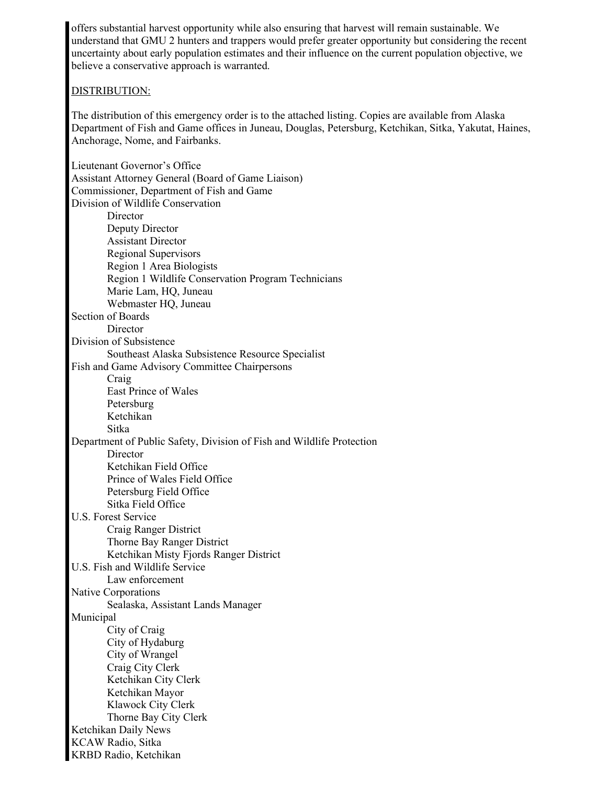offers substantial harvest opportunity while also ensuring that harvest will remain sustainable. We understand that GMU 2 hunters and trappers would prefer greater opportunity but considering the recent uncertainty about early population estimates and their influence on the current population objective, we believe a conservative approach is warranted.

#### DISTRIBUTION:

The distribution of this emergency order is to the attached listing. Copies are available from Alaska Department of Fish and Game offices in Juneau, Douglas, Petersburg, Ketchikan, Sitka, Yakutat, Haines, Anchorage, Nome, and Fairbanks.

Lieutenant Governor's Office Assistant Attorney General (Board of Game Liaison) Commissioner, Department of Fish and Game Division of Wildlife Conservation **Director** Deputy Director Assistant Director Regional Supervisors Region 1 Area Biologists Region 1 Wildlife Conservation Program Technicians Marie Lam, HQ, Juneau Webmaster HQ, Juneau Section of Boards Director Division of Subsistence Southeast Alaska Subsistence Resource Specialist Fish and Game Advisory Committee Chairpersons Craig East Prince of Wales Petersburg Ketchikan Sitka Department of Public Safety, Division of Fish and Wildlife Protection **Director** Ketchikan Field Office Prince of Wales Field Office Petersburg Field Office Sitka Field Office U.S. Forest Service Craig Ranger District Thorne Bay Ranger District Ketchikan Misty Fjords Ranger District U.S. Fish and Wildlife Service Law enforcement Native Corporations Sealaska, Assistant Lands Manager Municipal City of Craig City of Hydaburg City of Wrangel Craig City Clerk Ketchikan City Clerk Ketchikan Mayor Klawock City Clerk Thorne Bay City Clerk Ketchikan Daily News KCAW Radio, Sitka KRBD Radio, Ketchikan